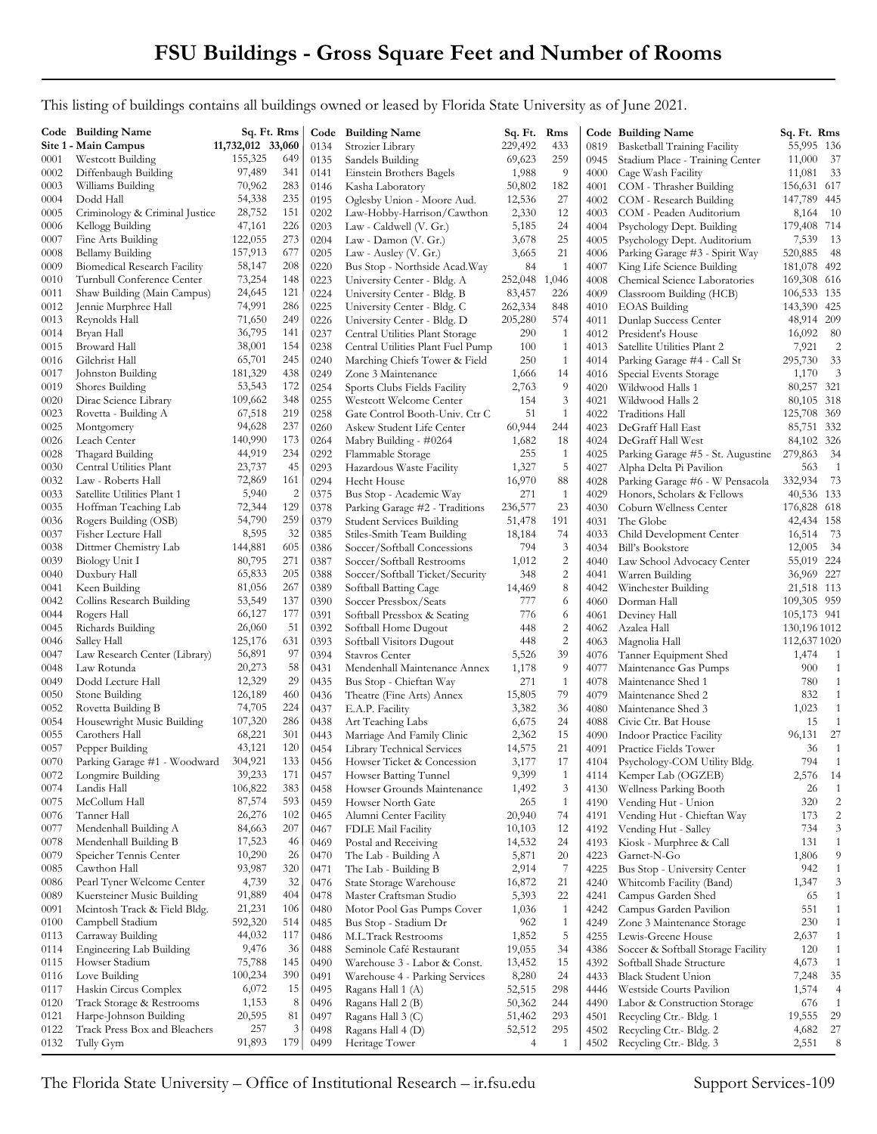This listing of buildings contains all buildings owned or leased by Florida State University as of June 2021.

|              | Code Building Name                                        | Sq. Ft. Rms       |                         | Code         | <b>Building Name</b>                                       | Sq. Ft. Rms       |                                           |              | Code Building Name                               | Sq. Ft. Rms                |                              |
|--------------|-----------------------------------------------------------|-------------------|-------------------------|--------------|------------------------------------------------------------|-------------------|-------------------------------------------|--------------|--------------------------------------------------|----------------------------|------------------------------|
|              | Site 1 - Main Campus                                      | 11,732,012 33,060 |                         | 0134         | Strozier Library                                           | 229,492           | 433                                       | 0819         | <b>Basketball Training Facility</b>              | 55,995 136                 |                              |
| 0001         | Westcott Building                                         | 155,325           | 649                     | 0135         | Sandels Building                                           | 69,623            | 259                                       | 0945         | Stadium Place - Training Center                  | 11,000<br>37               |                              |
| 0002         | Diffenbaugh Building                                      | 97,489            | 341                     | 0141         | Einstein Brothers Bagels                                   | 1,988             | -9                                        | 4000         | Cage Wash Facility                               | 11,081<br>- 33             |                              |
| 0003         | Williams Building                                         | 70,962            | 283                     | 0146         | Kasha Laboratory                                           | 50,802            | 182                                       | 4001         | COM - Thrasher Building                          | 156,631 617                |                              |
| 0004         | Dodd Hall                                                 | 54,338            | 235                     | 0195         | Oglesby Union - Moore Aud.                                 | 12,536            | 27                                        | 4002         | COM - Research Building                          | 147,789 445                |                              |
| 0005         | Criminology & Criminal Justice                            | 28,752            | 151                     | 0202         | Law-Hobby-Harrison/Cawthon                                 | 2,330             | 12                                        | 4003         | COM - Peaden Auditorium                          | 8,164<br>- 10              |                              |
| 0006         | Kellogg Building                                          | 47,161            | 226                     | 0203         | Law - Caldwell (V. Gr.)                                    | 5,185             | 24                                        | 4004         | Psychology Dept. Building                        | 179,408 714                |                              |
| 0007         | Fine Arts Building                                        | 122,055           | 273                     | 0204         | Law - Damon $(V. Gr.)$                                     | 3,678             | 25                                        | 4005         | Psychology Dept. Auditorium                      | 7,539<br>- 13              |                              |
| 0008         | Bellamy Building                                          | 157,913           | 677                     | 0205         | Law - Ausley (V. Gr.)                                      | 3,665             | 21                                        | 4006         | Parking Garage #3 - Spirit Way                   | 520,885<br>- 48            |                              |
| 0009         | <b>Biomedical Research Facility</b>                       | 58,147            | 208                     | 0220         | Bus Stop - Northside Acad. Way                             | 84                | $\mathbf{1}$                              | 4007         | King Life Science Building                       | 181,078 492                |                              |
| 0010<br>0011 | Turnbull Conference Center<br>Shaw Building (Main Campus) | 73,254<br>24,645  | 148<br>121              | 0223<br>0224 | University Center - Bldg. A<br>University Center - Bldg. B | 252,048<br>83,457 | 1,046<br>226                              | 4008         | Chemical Science Laboratories                    | 169,308 616<br>106,533 135 |                              |
| 0012         | Jennie Murphree Hall                                      | 74,991            | 286                     | 0225         | University Center - Bldg. C                                | 262,334           | 848                                       | 4009<br>4010 | Classroom Building (HCB)<br><b>EOAS</b> Building | 143,390 425                |                              |
| 0013         | Reynolds Hall                                             | 71,650            | 249                     | 0226         | University Center - Bldg. D                                | 205,280           | 574                                       | 4011         | Dunlap Success Center                            | 48,914 209                 |                              |
| 0014         | Bryan Hall                                                | 36,795            | 141                     | 0237         | Central Utilities Plant Storage                            | 290               | -1                                        | 4012         | President's House                                | 16,092<br>- 80             |                              |
| 0015         | Broward Hall                                              | 38,001            | 154                     | 0238         | Central Utilities Plant Fuel Pump                          | 100               | 1                                         | 4013         | Satellite Utilities Plant 2                      | 7,921                      | $\overline{c}$               |
| 0016         | Gilchrist Hall                                            | 65,701            | 245                     | 0240         | Marching Chiefs Tower & Field                              | 250               | 1                                         | 4014         | Parking Garage #4 - Call St                      | 33<br>295,730              |                              |
| 0017         | Johnston Building                                         | 181,329           | 438                     | 0249         | Zone 3 Maintenance                                         | 1,666             | 14                                        | 4016         | Special Events Storage                           | 1,170                      | $\overline{\phantom{a}}$     |
| 0019         | Shores Building                                           | 53,543            | 172                     | 0254         | Sports Clubs Fields Facility                               | 2,763             | 9                                         | 4020         | Wildwood Halls 1                                 | 80,257 321                 |                              |
| 0020         | Dirac Science Library                                     | 109,662           | 348                     | 0255         | Westcott Welcome Center                                    | 154               | 3                                         | 4021         | Wildwood Halls 2                                 | 80,105 318                 |                              |
| 0023         | Rovetta - Building A                                      | 67,518            | 219                     | 0258         | Gate Control Booth-Univ. Ctr C                             | 51                | 1                                         | 4022         | <b>Traditions Hall</b>                           | 125,708 369                |                              |
| 0025         | Montgomery                                                | 94,628            | 237                     | 0260         | Askew Student Life Center                                  | 60,944            | 244                                       | 4023         | DeGraff Hall East                                | 85,751 332                 |                              |
| 0026         | Leach Center                                              | 140,990           | 173                     | 0264         | Mabry Building - #0264                                     | 1,682             | 18                                        | 4024         | DeGraff Hall West                                | 84,102 326                 |                              |
| 0028         | Thagard Building                                          | 44,919            | 234                     | 0292         | Flammable Storage                                          | 255               | $\mathbf{1}$                              | 4025         | Parking Garage #5 - St. Augustine                | 279,863<br>- 34            |                              |
| 0030         | Central Utilities Plant                                   | 23,737            | 45                      | 0293         | Hazardous Waste Facility                                   | 1,327             | 5                                         | 4027         | Alpha Delta Pi Pavilion                          | 563                        | $\overline{1}$               |
| 0032         | Law - Roberts Hall                                        | 72,869            | 161                     | 0294         | Hecht House                                                | 16,970            | 88                                        | 4028         | Parking Garage #6 - W Pensacola                  | 332,934<br>73              |                              |
| 0033         | Satellite Utilities Plant 1                               | 5,940             | $\overline{\mathbf{c}}$ | 0375         | Bus Stop - Academic Way                                    | 271               | $\overline{1}$                            | 4029         | Honors, Scholars & Fellows                       | 40,536 133                 |                              |
| 0035         | Hoffman Teaching Lab                                      | 72,344            | 129                     | 0378         | Parking Garage #2 - Traditions                             | 236,577           | 23                                        | 4030         | Coburn Wellness Center                           | 176,828 618                |                              |
| 0036         | Rogers Building (OSB)                                     | 54,790            | 259                     | 0379         | <b>Student Services Building</b>                           | 51,478            | 191                                       | 4031         | The Globe                                        | 42,434 158                 |                              |
| 0037         | Fisher Lecture Hall                                       | 8,595             | 32                      | 0385         | Stiles-Smith Team Building                                 | 18,184            | 74                                        | 4033         | Child Development Center                         | - 73<br>16,514             |                              |
| 0038         | Dittmer Chemistry Lab                                     | 144,881<br>80,795 | 605<br>271              | 0386         | Soccer/Softball Concessions                                | 794               | $\mathfrak{Z}$                            | 4034         | <b>Bill's Bookstore</b>                          | - 34<br>12,005             |                              |
| 0039<br>0040 | Biology Unit I<br>Duxbury Hall                            | 65,833            | 205                     | 0387         | Soccer/Softball Restrooms                                  | 1,012<br>348      | $\overline{c}$<br>$\overline{\mathbf{c}}$ | 4040         | Law School Advocacy Center                       | 55,019 224<br>36,969 227   |                              |
| 0041         | Keen Building                                             | 81,056            | 267                     | 0388<br>0389 | Soccer/Softball Ticket/Security<br>Softball Batting Cage   | 14,469            | 8                                         | 4041<br>4042 | Warren Building<br>Winchester Building           | 21,518 113                 |                              |
| 0042         | Collins Research Building                                 | 53,549            | 137                     | 0390         | Soccer Pressbox/Seats                                      | 777               | 6                                         | 4060         | Dorman Hall                                      | 109,305 959                |                              |
| 0044         | Rogers Hall                                               | 66,127            | 177                     | 0391         | Softball Pressbox & Seating                                | 776               | 6                                         | 4061         | Deviney Hall                                     | 105,173 941                |                              |
| 0045         | Richards Building                                         | 26,060            | 51                      | 0392         | Softball Home Dugout                                       | 448               | $\mathbf{2}$                              | 4062         | Azalea Hall                                      | 130,196 1012               |                              |
| 0046         | Salley Hall                                               | 125,176           | 631                     | 0393         | Softball Visitors Dugout                                   | 448               | $\overline{c}$                            | 4063         | Magnolia Hall                                    | 112,637 1020               |                              |
| 0047         | Law Research Center (Library)                             | 56,891            | 97                      | 0394         | Stavros Center                                             | 5,526             | 39                                        | 4076         | Tanner Equipment Shed                            | 1,474<br>$\overline{1}$    |                              |
| 0048         | Law Rotunda                                               | 20,273            | 58                      | 0431         | Mendenhall Maintenance Annex                               | 1,178             | 9                                         | 4077         | Maintenance Gas Pumps                            | 900                        | $\overline{1}$               |
| 0049         | Dodd Lecture Hall                                         | 12,329            | 29                      | 0435         | Bus Stop - Chieftan Way                                    | 271               | 1                                         | 4078         | Maintenance Shed 1                               | 780                        | 1                            |
| 0050         | Stone Building                                            | 126,189           | 460                     | 0436         | Theatre (Fine Arts) Annex                                  | 15,805            | 79                                        | 4079         | Maintenance Shed 2                               | 832                        | $\mathbf{1}$                 |
| 0052         | Rovetta Building B                                        | 74,705            | 224                     | 0437         | E.A.P. Facility                                            | 3,382             | 36                                        | 4080         | Maintenance Shed 3                               | 1,023                      | $\mathbf{1}$                 |
| 0054         | Housewright Music Building                                | 107,320           | 286                     | 0438         | Art Teaching Labs                                          | 6,675             | 24                                        | 4088         | Civic Ctr. Bat House                             | 15                         | -1                           |
| 0055         | Carothers Hall                                            | 68,221            | 301                     | 0443         | Marriage And Family Clinic                                 | 2,362             | 15                                        | 4090         | <b>Indoor Practice Facility</b>                  | 96,131                     | 27                           |
| 0057         | Pepper Building                                           | 43,121            | 120                     | 0454         | Library Technical Services                                 | 14,575            | 21                                        | 4091         | Practice Fields Tower                            | 36                         | $\overline{1}$               |
| 0070         | Parking Garage #1 - Woodward                              | 304,921           | 133                     | 0456         | Howser Ticket & Concession                                 | 3,177             | 17                                        | 4104         | Psychology-COM Utility Bldg.                     | 794                        | $\overline{1}$               |
| 0072         | Longmire Building                                         | 39,233            | 171                     | 0457         | Howser Batting Tunnel                                      | 9,399             | 1                                         | 4114         | Kemper Lab (OGZEB)                               | 2,576<br>-14               |                              |
| 0074         | Landis Hall<br>McCollum Hall                              | 106,822           | 383                     | 0458         | Howser Grounds Maintenance                                 | 1,492             | 3                                         | 4130         | Wellness Parking Booth                           | 26                         | -1                           |
| 0075         | Tanner Hall                                               | 87,574<br>26,276  | 593<br>102              | 0459         | Howser North Gate                                          | 265               | 1<br>74                                   | 4190         | Vending Hut - Union                              | 320<br>173                 | $\sqrt{2}$<br>$\overline{c}$ |
| 0076<br>0077 | Mendenhall Building A                                     | 84,663            | 207                     | 0465<br>0467 | Alumni Center Facility                                     | 20,940<br>10,103  | 12                                        | 4191         | Vending Hut - Chieftan Way                       | 734                        | $\mathfrak{Z}$               |
| 0078         | Mendenhall Building B                                     | 17,523            | 46                      | 0469         | FDLE Mail Facility<br>Postal and Receiving                 | 14,532            | 24                                        | 4192<br>4193 | Vending Hut - Salley<br>Kiosk - Murphree & Call  | 131                        | $\mathbf{1}$                 |
| 0079         | Speicher Tennis Center                                    | 10,290            | 26                      | 0470         | The Lab - Building A                                       | 5,871             | 20                                        | 4223         | Garnet-N-Go                                      | 1,806                      | 9                            |
| 0085         | Cawthon Hall                                              | 93,987            | 320                     | 0471         | The Lab - Building B                                       | 2,914             | $\overline{7}$                            | 4225         | Bus Stop - University Center                     | 942                        | $\mathbf{1}$                 |
| 0086         | Pearl Tyner Welcome Center                                | 4,739             | 32                      | 0476         | State Storage Warehouse                                    | 16,872            | 21                                        | 4240         | Whitcomb Facility (Band)                         | 1,347                      | 3                            |
| 0089         | Kuersteiner Music Building                                | 91,889            | 404                     | 0478         | Master Craftsman Studio                                    | 5,393             | $22\,$                                    | 4241         | Campus Garden Shed                               | 65                         | $\mathbf{1}$                 |
| 0091         | Meintosh Track & Field Bldg.                              | 21,231            | 106                     | 0480         | Motor Pool Gas Pumps Cover                                 | 1,036             | $\mathbf{1}$                              | 4242         | Campus Garden Pavilion                           | 551                        | 1                            |
| 0100         | Campbell Stadium                                          | 592,320           | 514                     | 0485         | Bus Stop - Stadium Dr                                      | 962               | -1                                        | 4249         | Zone 3 Maintenance Storage                       | 230                        | $\mathbf{1}$                 |
| 0113         | Carraway Building                                         | 44,032            | 117                     | 0486         | M.L.Track Restrooms                                        | 1,852             | 5                                         | 4255         | Lewis-Greene House                               | 2,637                      | $\mathbf{1}$                 |
| 0114         | Engineering Lab Building                                  | 9,476             | 36                      | 0488         | Seminole Café Restaurant                                   | 19,055            | 34                                        | 4386         | Soccer & Softball Storage Facility               | 120                        | $\mathbf{1}$                 |
| 0115         | Howser Stadium                                            | 75,788            | 145                     | 0490         | Warehouse 3 - Labor & Const.                               | 13,452            | 15                                        | 4392         | Softball Shade Structure                         | 4,673                      | $\mathbf{1}$                 |
| 0116         | Love Building                                             | 100,234           | 390                     | 0491         | Warehouse 4 - Parking Services                             | 8,280             | 24                                        | 4433         | <b>Black Student Union</b>                       | 7,248                      | 35                           |
| 0117         | Haskin Circus Complex                                     | 6,072             | 15                      | 0495         | Ragans Hall 1 (A)                                          | 52,515            | 298                                       | 4446         | Westside Courts Pavilion                         | 1,574                      | $\overline{4}$               |
| 0120         | Track Storage & Restrooms                                 | 1,153             | 8                       | 0496         | Ragans Hall 2 (B)                                          | 50,362            | 244                                       | 4490         | Labor & Construction Storage                     | 676                        | $\overline{1}$               |
| 0121         | Harpe-Johnson Building                                    | 20,595            | 81                      | 0497         | Ragans Hall 3 (C)                                          | 51,462            | 293                                       | 4501         | Recycling Ctr.- Bldg. 1                          | 19,555                     | 29                           |
| 0122         | Track Press Box and Bleachers                             | 257               | 3                       | 0498         | Ragans Hall 4 (D)                                          | 52,512            | 295                                       | 4502         | Recycling Ctr.- Bldg. 2                          | 4,682<br>27                |                              |
| 0132         | Tully Gym                                                 | 91,893            | 179                     | 0499         | Heritage Tower                                             | $\overline{4}$    | $\mathbf{1}$                              | 4502         | Recycling Ctr.- Bldg. 3                          | 2,551                      | 8                            |